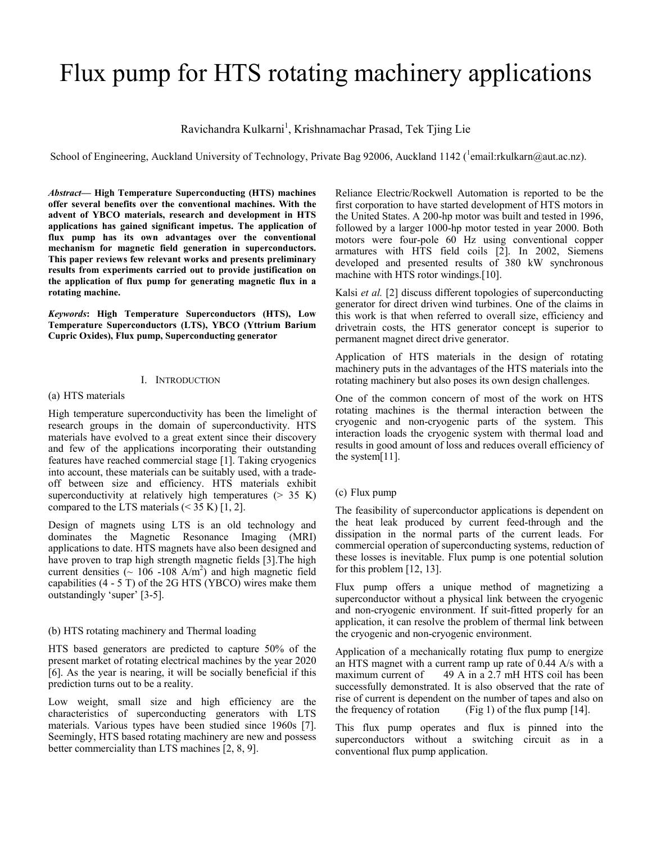# Flux pump for HTS rotating machinery applications

Ravichandra Kulkarni<sup>1</sup>, Krishnamachar Prasad, Tek Tjing Lie

School of Engineering, Auckland University of Technology, Private Bag 92006, Auckland 1142 (<sup>1</sup>email:rkulkarn@aut.ac.nz).

*Abstract***— High Temperature Superconducting (HTS) machines offer several benefits over the conventional machines. With the advent of YBCO materials, research and development in HTS applications has gained significant impetus. The application of flux pump has its own advantages over the conventional mechanism for magnetic field generation in superconductors. This paper reviews few relevant works and presents preliminary results from experiments carried out to provide justification on the application of flux pump for generating magnetic flux in a rotating machine.** 

*Keywords***: High Temperature Superconductors (HTS), Low Temperature Superconductors (LTS), YBCO (Yttrium Barium Cupric Oxides), Flux pump, Superconducting generator** 

# I. INTRODUCTION

### (a) HTS materials

High temperature superconductivity has been the limelight of research groups in the domain of superconductivity. HTS materials have evolved to a great extent since their discovery and few of the applications incorporating their outstanding features have reached commercial stage [1]. Taking cryogenics into account, these materials can be suitably used, with a tradeoff between size and efficiency. HTS materials exhibit superconductivity at relatively high temperatures  $(> 35 K)$ compared to the LTS materials  $(< 35 K)$  [1, 2].

Design of magnets using LTS is an old technology and dominates the Magnetic Resonance Imaging (MRI) applications to date. HTS magnets have also been designed and have proven to trap high strength magnetic fields [3].The high current densities  $\left(\sim 106 - 108 \text{ A/m}^2\right)$  and high magnetic field capabilities (4 - 5 T) of the 2G HTS (YBCO) wires make them outstandingly 'super' [3-5].

## (b) HTS rotating machinery and Thermal loading

HTS based generators are predicted to capture 50% of the present market of rotating electrical machines by the year 2020 [6]. As the year is nearing, it will be socially beneficial if this prediction turns out to be a reality.

Low weight, small size and high efficiency are the characteristics of superconducting generators with LTS materials. Various types have been studied since 1960s [7]. Seemingly, HTS based rotating machinery are new and possess better commerciality than LTS machines [2, 8, 9].

Reliance Electric/Rockwell Automation is reported to be the first corporation to have started development of HTS motors in the United States. A 200-hp motor was built and tested in 1996, followed by a larger 1000-hp motor tested in year 2000. Both motors were four-pole 60 Hz using conventional copper armatures with HTS field coils [2]. In 2002, Siemens developed and presented results of 380 kW synchronous machine with HTS rotor windings.[10].

Kalsi *et al.* [2] discuss different topologies of superconducting generator for direct driven wind turbines. One of the claims in this work is that when referred to overall size, efficiency and drivetrain costs, the HTS generator concept is superior to permanent magnet direct drive generator.

Application of HTS materials in the design of rotating machinery puts in the advantages of the HTS materials into the rotating machinery but also poses its own design challenges.

One of the common concern of most of the work on HTS rotating machines is the thermal interaction between the cryogenic and non-cryogenic parts of the system. This interaction loads the cryogenic system with thermal load and results in good amount of loss and reduces overall efficiency of the system[11].

# (c) Flux pump

The feasibility of superconductor applications is dependent on the heat leak produced by current feed-through and the dissipation in the normal parts of the current leads. For commercial operation of superconducting systems, reduction of these losses is inevitable. Flux pump is one potential solution for this problem [12, 13].

Flux pump offers a unique method of magnetizing a superconductor without a physical link between the cryogenic and non-cryogenic environment. If suit-fitted properly for an application, it can resolve the problem of thermal link between the cryogenic and non-cryogenic environment.

Application of a mechanically rotating flux pump to energize an HTS magnet with a current ramp up rate of 0.44 A/s with a maximum current of 49 A in a 2.7 mH HTS coil has been successfully demonstrated. It is also observed that the rate of rise of current is dependent on the number of tapes and also on the frequency of rotation  $(Fig 1)$  of the flux pump [14].

This flux pump operates and flux is pinned into the superconductors without a switching circuit as in a conventional flux pump application.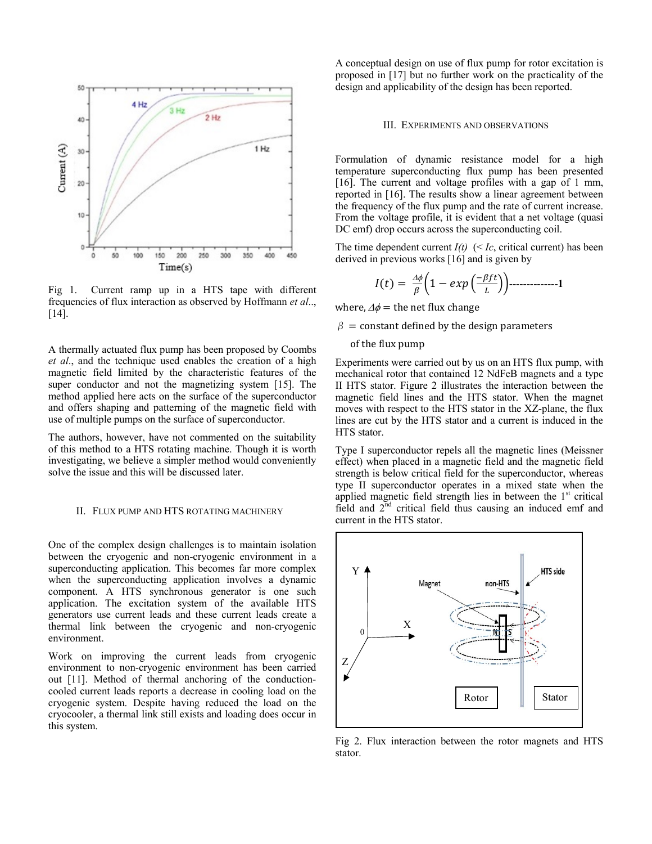

Fig 1. Current ramp up in a HTS tape with different frequencies of flux interaction as observed by Hoffmann *et al*.., [14].

A thermally actuated flux pump has been proposed by Coombs *et al*., and the technique used enables the creation of a high magnetic field limited by the characteristic features of the super conductor and not the magnetizing system [15]. The method applied here acts on the surface of the superconductor and offers shaping and patterning of the magnetic field with use of multiple pumps on the surface of superconductor.

The authors, however, have not commented on the suitability of this method to a HTS rotating machine. Though it is worth investigating, we believe a simpler method would conveniently solve the issue and this will be discussed later.

#### II. FLUX PUMP AND HTS ROTATING MACHINERY

One of the complex design challenges is to maintain isolation between the cryogenic and non-cryogenic environment in a superconducting application. This becomes far more complex when the superconducting application involves a dynamic component. A HTS synchronous generator is one such application. The excitation system of the available HTS generators use current leads and these current leads create a thermal link between the cryogenic and non-cryogenic environment.

Work on improving the current leads from cryogenic environment to non-cryogenic environment has been carried out [11]. Method of thermal anchoring of the conductioncooled current leads reports a decrease in cooling load on the cryogenic system. Despite having reduced the load on the cryocooler, a thermal link still exists and loading does occur in this system.

A conceptual design on use of flux pump for rotor excitation is proposed in [17] but no further work on the practicality of the design and applicability of the design has been reported.

#### III. EXPERIMENTS AND OBSERVATIONS

Formulation of dynamic resistance model for a high temperature superconducting flux pump has been presented [16]. The current and voltage profiles with a gap of 1 mm, reported in [16]. The results show a linear agreement between the frequency of the flux pump and the rate of current increase. From the voltage profile, it is evident that a net voltage (quasi DC emf) drop occurs across the superconducting coil.

The time dependent current  $I(t)$  (< *Ic*, critical current) has been derived in previous works [16] and is given by

$$
I(t) = \frac{\Delta \phi}{\beta} \left( 1 - exp\left(\frac{-\beta f t}{L}\right) \right) \quad \text{---} \quad \text{---} \quad 1
$$

where,  $\Delta \phi$  = the net flux change

 $\beta$  = constant defined by the design parameters

of the flux pump

Experiments were carried out by us on an HTS flux pump, with mechanical rotor that contained 12 NdFeB magnets and a type II HTS stator. Figure 2 illustrates the interaction between the magnetic field lines and the HTS stator. When the magnet moves with respect to the HTS stator in the XZ-plane, the flux lines are cut by the HTS stator and a current is induced in the HTS stator.

Type I superconductor repels all the magnetic lines (Meissner effect) when placed in a magnetic field and the magnetic field strength is below critical field for the superconductor, whereas type II superconductor operates in a mixed state when the applied magnetic field strength lies in between the  $1<sup>st</sup>$  critical field and  $2<sup>nd</sup>$  critical field thus causing an induced emf and current in the HTS stator.



Fig 2. Flux interaction between the rotor magnets and HTS stator.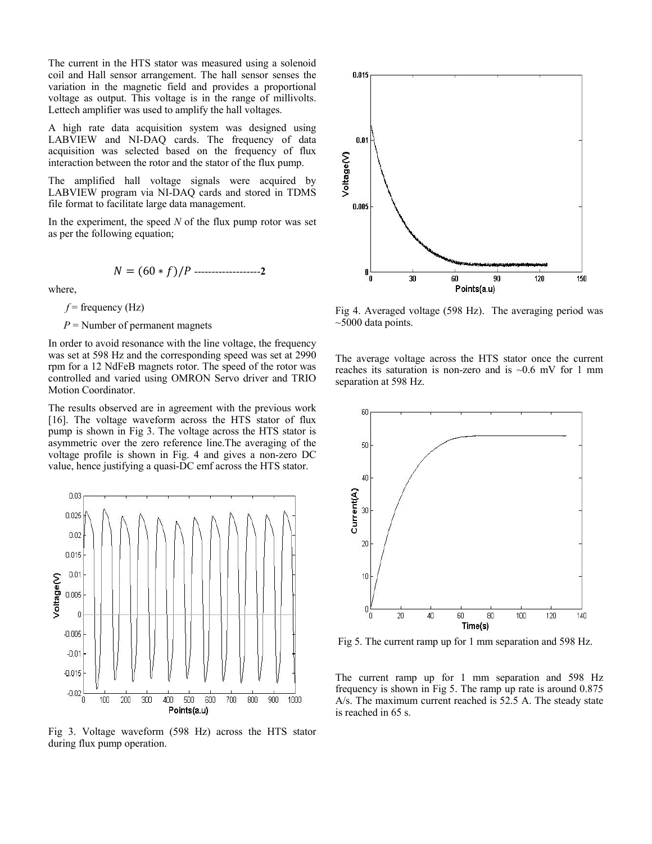The current in the HTS stator was measured using a solenoid coil and Hall sensor arrangement. The hall sensor senses the variation in the magnetic field and provides a proportional voltage as output. This voltage is in the range of millivolts. Lettech amplifier was used to amplify the hall voltages.

A high rate data acquisition system was designed using LABVIEW and NI-DAQ cards. The frequency of data acquisition was selected based on the frequency of flux interaction between the rotor and the stator of the flux pump.

The amplified hall voltage signals were acquired by LABVIEW program via NI-DAQ cards and stored in TDMS file format to facilitate large data management.

In the experiment, the speed *N* of the flux pump rotor was set as per the following equation;

$$
N = (60 * f)/P
$$

where,

 $f$  = frequency (Hz)

*P* = Number of permanent magnets

In order to avoid resonance with the line voltage, the frequency was set at 598 Hz and the corresponding speed was set at 2990 rpm for a 12 NdFeB magnets rotor. The speed of the rotor was controlled and varied using OMRON Servo driver and TRIO Motion Coordinator.

The results observed are in agreement with the previous work [16]. The voltage waveform across the HTS stator of flux pump is shown in Fig 3. The voltage across the HTS stator is asymmetric over the zero reference line.The averaging of the voltage profile is shown in Fig. 4 and gives a non-zero DC value, hence justifying a quasi-DC emf across the HTS stator.



Fig 3. Voltage waveform (598 Hz) across the HTS stator during flux pump operation.



Fig 4. Averaged voltage (598 Hz). The averaging period was  $\sim$ 5000 data points.

The average voltage across the HTS stator once the current reaches its saturation is non-zero and is  $\sim 0.6$  mV for 1 mm separation at 598 Hz.



Fig 5. The current ramp up for 1 mm separation and 598 Hz.

The current ramp up for 1 mm separation and 598 Hz frequency is shown in Fig 5. The ramp up rate is around 0.875 A/s. The maximum current reached is 52.5 A. The steady state is reached in 65 s.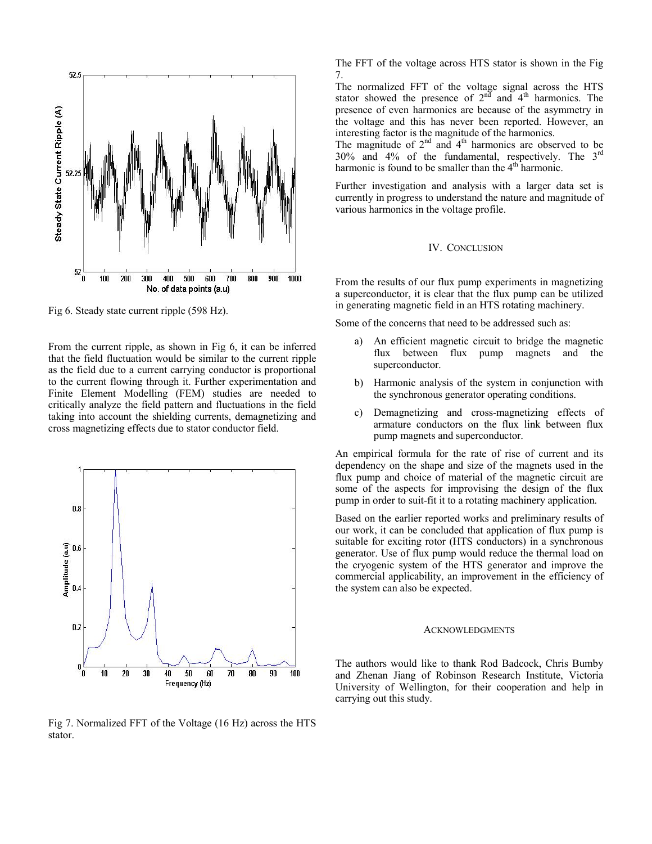

Fig 6. Steady state current ripple (598 Hz).

From the current ripple, as shown in Fig 6, it can be inferred that the field fluctuation would be similar to the current ripple as the field due to a current carrying conductor is proportional to the current flowing through it. Further experimentation and Finite Element Modelling (FEM) studies are needed to critically analyze the field pattern and fluctuations in the field taking into account the shielding currents, demagnetizing and cross magnetizing effects due to stator conductor field.



Fig 7. Normalized FFT of the Voltage (16 Hz) across the HTS stator.

The FFT of the voltage across HTS stator is shown in the Fig 7.

The normalized FFT of the voltage signal across the HTS stator showed the presence of  $2<sup>n\overline{d}</sup>$  and  $4<sup>th</sup>$  harmonics. The presence of even harmonics are because of the asymmetry in the voltage and this has never been reported. However, an interesting factor is the magnitude of the harmonics.

The magnitude of  $2<sup>nd</sup>$  and  $4<sup>th</sup>$  harmonics are observed to be 30% and 4% of the fundamental, respectively. The 3rd harmonic is found to be smaller than the 4<sup>th</sup> harmonic.

Further investigation and analysis with a larger data set is currently in progress to understand the nature and magnitude of various harmonics in the voltage profile.

## IV. CONCLUSION

From the results of our flux pump experiments in magnetizing a superconductor, it is clear that the flux pump can be utilized in generating magnetic field in an HTS rotating machinery.

Some of the concerns that need to be addressed such as:

- a) An efficient magnetic circuit to bridge the magnetic flux between flux pump magnets and the superconductor.
- b) Harmonic analysis of the system in conjunction with the synchronous generator operating conditions.
- c) Demagnetizing and cross-magnetizing effects of armature conductors on the flux link between flux pump magnets and superconductor.

An empirical formula for the rate of rise of current and its dependency on the shape and size of the magnets used in the flux pump and choice of material of the magnetic circuit are some of the aspects for improvising the design of the flux pump in order to suit-fit it to a rotating machinery application.

Based on the earlier reported works and preliminary results of our work, it can be concluded that application of flux pump is suitable for exciting rotor (HTS conductors) in a synchronous generator. Use of flux pump would reduce the thermal load on the cryogenic system of the HTS generator and improve the commercial applicability, an improvement in the efficiency of the system can also be expected.

#### **ACKNOWLEDGMENTS**

The authors would like to thank Rod Badcock, Chris Bumby and Zhenan Jiang of Robinson Research Institute, Victoria University of Wellington, for their cooperation and help in carrying out this study.